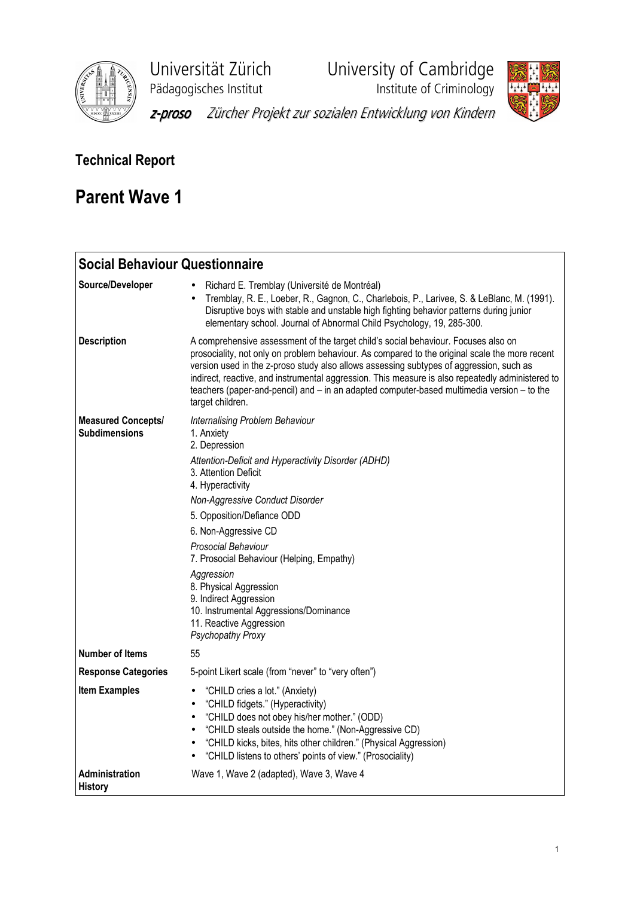

Universität Zürich University of Cambridge

Pädagogisches Institut **Institute institute of Criminology** 



z-proso Zürcher Projekt zur sozialen Entwicklung von Kindern

# Technical Report

# Parent Wave 1

| <b>Social Behaviour Questionnaire</b>      |                                                                                                                                                                                                                                                                                                                                                                                                                                                                                                       |
|--------------------------------------------|-------------------------------------------------------------------------------------------------------------------------------------------------------------------------------------------------------------------------------------------------------------------------------------------------------------------------------------------------------------------------------------------------------------------------------------------------------------------------------------------------------|
| Source/Developer                           | Richard E. Tremblay (Université de Montréal)<br>Tremblay, R. E., Loeber, R., Gagnon, C., Charlebois, P., Larivee, S. & LeBlanc, M. (1991).<br>Disruptive boys with stable and unstable high fighting behavior patterns during junior<br>elementary school. Journal of Abnormal Child Psychology, 19, 285-300.                                                                                                                                                                                         |
| <b>Description</b>                         | A comprehensive assessment of the target child's social behaviour. Focuses also on<br>prosociality, not only on problem behaviour. As compared to the original scale the more recent<br>version used in the z-proso study also allows assessing subtypes of aggression, such as<br>indirect, reactive, and instrumental aggression. This measure is also repeatedly administered to<br>teachers (paper-and-pencil) and – in an adapted computer-based multimedia version – to the<br>target children. |
| <b>Measured Concepts/</b><br>Subdimensions | Internalising Problem Behaviour<br>1. Anxiety<br>2. Depression<br>Attention-Deficit and Hyperactivity Disorder (ADHD)<br>3. Attention Deficit<br>4. Hyperactivity<br>Non-Aggressive Conduct Disorder<br>5. Opposition/Defiance ODD<br>6. Non-Aggressive CD<br>Prosocial Behaviour<br>7. Prosocial Behaviour (Helping, Empathy)<br>Aggression<br>8. Physical Aggression<br>9. Indirect Aggression<br>10. Instrumental Aggressions/Dominance<br>11. Reactive Aggression<br>Psychopathy Proxy            |
| <b>Number of Items</b>                     | 55                                                                                                                                                                                                                                                                                                                                                                                                                                                                                                    |
| <b>Response Categories</b>                 | 5-point Likert scale (from "never" to "very often")                                                                                                                                                                                                                                                                                                                                                                                                                                                   |
| <b>Item Examples</b>                       | "CHILD cries a lot." (Anxiety)<br>$\bullet$<br>"CHILD fidgets." (Hyperactivity)<br>$\bullet$<br>"CHILD does not obey his/her mother." (ODD)<br>$\bullet$<br>"CHILD steals outside the home." (Non-Aggressive CD)<br>$\bullet$<br>"CHILD kicks, bites, hits other children." (Physical Aggression)<br>$\bullet$<br>"CHILD listens to others' points of view." (Prosociality)                                                                                                                           |
| <b>Administration</b><br><b>History</b>    | Wave 1, Wave 2 (adapted), Wave 3, Wave 4                                                                                                                                                                                                                                                                                                                                                                                                                                                              |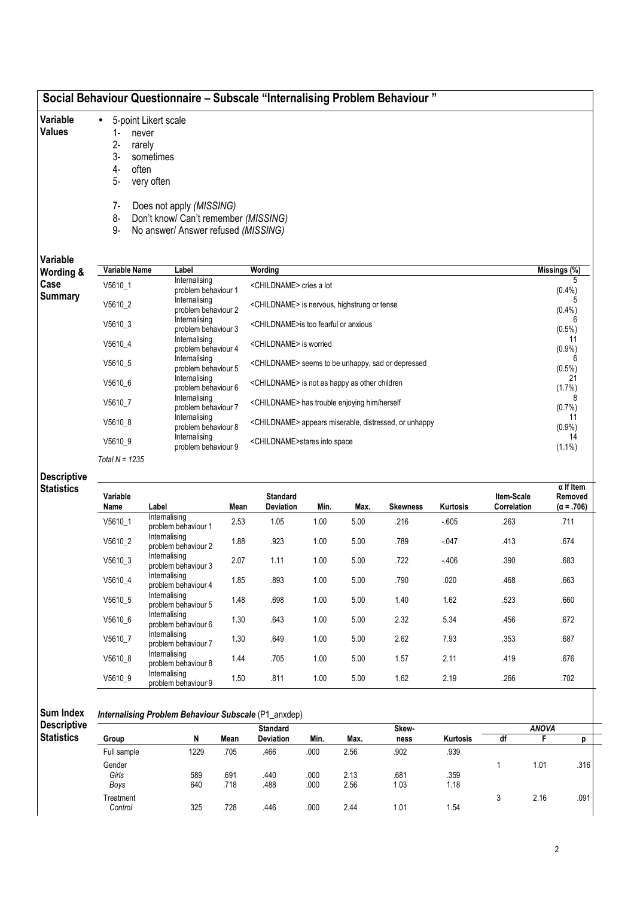| Social Behaviour Questionnaire – Subscale "Internalising Problem Behaviour" |  |  |
|-----------------------------------------------------------------------------|--|--|
|-----------------------------------------------------------------------------|--|--|

- Variable • 5-point Likert scale
- Values
- 1- never 2- rarely
- 3- sometimes
- 4- often
- 5- very often
- 
- 7- Does not apply (MISSING)
- 8- Don't know/ Can't remember (MISSING)
- 9- No answer/ Answer refused (MISSING)

Variable

| Variable<br>Wording & | Variable Name    | Label                                | Wording                                                           | Missings (%)    |
|-----------------------|------------------|--------------------------------------|-------------------------------------------------------------------|-----------------|
| Case                  | V5610 1          | Internalising<br>problem behaviour 1 | <childname> cries a lot</childname>                               | (0.4% )         |
| Summary               | V5610 2          | Internalising<br>problem behaviour 2 | <childname> is nervous, highstrung or tense</childname>           | (0.4% )         |
|                       | V5610_3          | Internalising<br>problem behaviour 3 | <childname>is too fearful or anxious</childname>                  | $(0.5\%)$       |
|                       | V5610_4          | Internalising<br>problem behaviour 4 | <childname> is worried</childname>                                | 11<br>(0.9%     |
| V5610 5               |                  | Internalising<br>problem behaviour 5 | <childname> seems to be unhappy, sad or depressed</childname>     | $(0.5\%)$       |
|                       | V5610_6          | Internalising<br>problem behaviour 6 | <childname> is not as happy as other children</childname>         | 21<br>(1.7%)    |
|                       | V5610 7          | Internalising<br>problem behaviour 7 | <childname> has trouble enjoying him/herself</childname>          | (0.7%           |
|                       | V5610 8          | Internalising<br>problem behaviour 8 | <childname> appears miserable, distressed, or unhappy</childname> | 11<br>$(0.9\%)$ |
|                       | V5610 9          | Internalising<br>problem behaviour 9 | <childname>stares into space</childname>                          | 14<br>$(1.1\%)$ |
|                       | Total $N = 1235$ |                                      |                                                                   |                 |

## Descriptive **Statistics**

| Variable<br>Name | Label                                | Mean | <b>Standard</b><br><b>Deviation</b> | Min. | Max. | <b>Skewness</b> | <b>Kurtosis</b> | Item-Scale<br>Correlation | $\alpha$ If Item<br>Removed<br>$(\alpha = .706)$ |
|------------------|--------------------------------------|------|-------------------------------------|------|------|-----------------|-----------------|---------------------------|--------------------------------------------------|
| V5610 1          | Internalising<br>problem behaviour 1 | 2.53 | 1.05                                | 1.00 | 5.00 | .216            | $-605$          | .263                      | .711                                             |
| V5610 2          | Internalising<br>problem behaviour 2 | 1.88 | .923                                | 1.00 | 5.00 | .789            | $-.047$         | .413                      | .674                                             |
| V5610 3          | Internalising<br>problem behaviour 3 | 2.07 | 1.11                                | 1.00 | 5.00 | .722            | $-406$          | .390                      | .683                                             |
| V5610 4          | Internalising<br>problem behaviour 4 | 1.85 | .893                                | 1.00 | 5.00 | .790            | .020            | .468                      | .663                                             |
| V5610 5          | Internalising<br>problem behaviour 5 | 1.48 | .698                                | 1.00 | 5.00 | 1.40            | 1.62            | .523                      | .660                                             |
| V5610 6          | Internalising<br>problem behaviour 6 | 1.30 | .643                                | 1.00 | 5.00 | 2.32            | 5.34            | .456                      | .672                                             |
| V5610 7          | Internalising<br>problem behaviour 7 | 1.30 | .649                                | 1.00 | 5.00 | 2.62            | 7.93            | .353                      | .687                                             |
| V5610 8          | Internalising<br>problem behaviour 8 | 1.44 | .705                                | 1.00 | 5.00 | 1.57            | 2.11            | .419                      | .676                                             |
| V5610 9          | Internalising<br>problem behaviour 9 | 1.50 | .811                                | 1.00 | 5.00 | 1.62            | 2.19            | .266                      | .702                                             |

| <b>Sum Index</b>                        | <b>Internalising Problem Behaviour Subscale (P1_anxdep)</b> |   |      |                                     |  |  |  |  |
|-----------------------------------------|-------------------------------------------------------------|---|------|-------------------------------------|--|--|--|--|
| <b>Descriptive</b><br><b>Statistics</b> | Group                                                       | N | Mean | <b>Standard</b><br><b>Deviation</b> |  |  |  |  |

| scriptive |               |            |              | <b>Standard</b>  |              |              | Skew-        |                 |    | <b>ANOVA</b> |      |  |
|-----------|---------------|------------|--------------|------------------|--------------|--------------|--------------|-----------------|----|--------------|------|--|
| ıtistics  | Group         |            | Mean         | <b>Deviation</b> | Min.         | Max.         | ness         | <b>Kurtosis</b> | df |              |      |  |
|           | Full sample   | 1229       | .705         | .466             | .000         | 2.56         | .902         | .939            |    |              |      |  |
|           | Gender        |            |              |                  |              |              |              |                 |    | 1.01         | .316 |  |
|           | Girls<br>Boys | 589<br>640 | .691<br>.718 | .440<br>.488     | .000<br>.000 | 2.13<br>2.56 | .681<br>1.03 | .359<br>1.18    |    |              |      |  |
|           | Treatment     |            |              |                  |              |              |              |                 |    | 2.16         | .091 |  |
|           | Control       | 325        | .728         | .446             | .000         | 2.44         | 1.01         | 1.54            |    |              |      |  |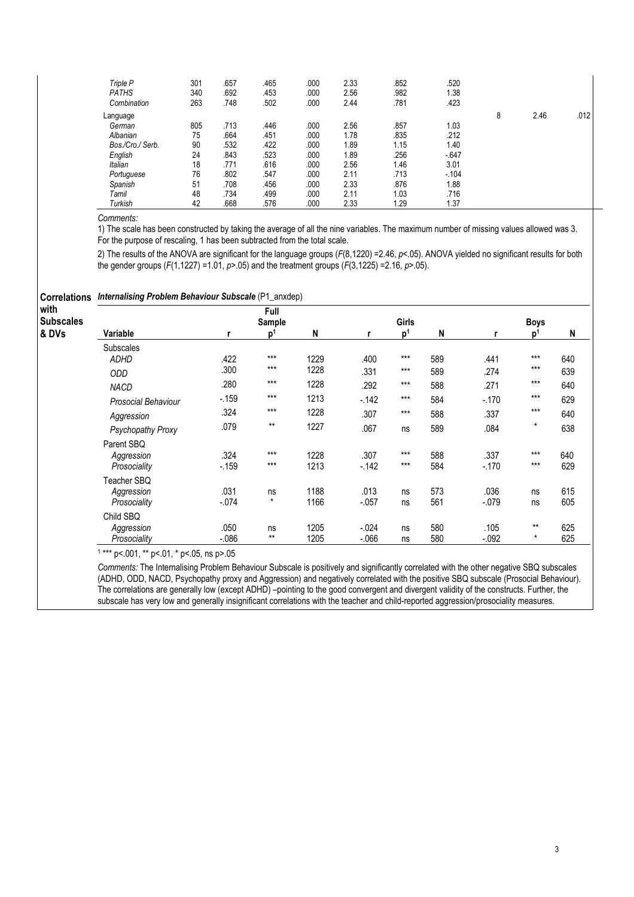| Triple P<br><b>PATHS</b> | 301<br>340 | .657<br>.692 | .465<br>.453 | .000<br>.000 | 2.33<br>2.56 | .852<br>.982 | .520<br>1.38 |   |      |      |
|--------------------------|------------|--------------|--------------|--------------|--------------|--------------|--------------|---|------|------|
| Combination              | 263        | .748         | .502         | .000         | 2.44         | .781         | .423         |   |      |      |
| Language                 |            |              |              |              |              |              |              | 8 | 2.46 | .012 |
| German                   | 805        | .713         | .446         | .000         | 2.56         | .857         | 1.03         |   |      |      |
| Albanian                 | 75         | .664         | .451         | .000         | 1.78         | .835         | .212         |   |      |      |
| Bos./Cro./ Serb.         | 90         | .532         | .422         | .000         | 1.89         | 1.15         | 1.40         |   |      |      |
| English                  | 24         | .843         | .523         | .000         | 1.89         | 256          | $-647$       |   |      |      |
| Italian                  | 18         | .771         | .616         | .000         | 2.56         | 1.46         | 3.01         |   |      |      |
| Portuguese               | 76         | .802         | .547         | .000         | 2.11         | .713         | $-104$       |   |      |      |
| Spanish                  | 51         | .708         | .456         | .000         | 2.33         | .876         | 1.88         |   |      |      |
| Tamil                    | 48         | .734         | .499         | .000         | 2.11         | 1.03         | .716         |   |      |      |
| Turkish                  | 42         | .668         | .576         | .000         | 2.33         | 1.29         | 1.37         |   |      |      |

1) The scale has been constructed by taking the average of all the nine variables. The maximum number of missing values allowed was 3. For the purpose of rescaling, 1 has been subtracted from the total scale.

2) The results of the ANOVA are significant for the language groups (F(8,1220) =2.46, p<.05). ANOVA yielded no significant results for both the gender groups  $(F(1, 1227) = 1.01, p > .05)$  and the treatment groups  $(F(3, 1225) = 2.16, p > .05)$ .

|  | <b>Correlations Internalising Problem Behaviour Subscale (P1_anxdep)</b> |
|--|--------------------------------------------------------------------------|
|--|--------------------------------------------------------------------------|

| with<br><b>Subscales</b> |                     |          | Full<br>Sample |      |          | Girls          |     |         | <b>Boys</b> |     |
|--------------------------|---------------------|----------|----------------|------|----------|----------------|-----|---------|-------------|-----|
| & DVs                    | Variable            | r        | D <sup>1</sup> | N    | r        | p <sup>1</sup> | N   | r       | ŋ,          | N   |
|                          | <b>Subscales</b>    |          |                |      |          |                |     |         |             |     |
|                          | <b>ADHD</b>         | .422     | $***$          | 1229 | .400     | $***$          | 589 | .441    | $***$       | 640 |
|                          | <b>ODD</b>          | .300     | $***$          | 1228 | .331     | $***$          | 589 | .274    | $***$       | 639 |
|                          | <b>NACD</b>         | .280     | $***$          | 1228 | .292     | $***$          | 588 | .271    | $***$       | 640 |
|                          | Prosocial Behaviour | $-159$   | $***$          | 1213 | $-142$   | $***$          | 584 | $-.170$ | $***$       | 629 |
|                          | Aggression          | .324     | $***$          | 1228 | .307     | $***$          | 588 | .337    | $***$       | 640 |
|                          | Psychopathy Proxy   | .079     | $**$           | 1227 | .067     | ns             | 589 | .084    | $^\star$    | 638 |
|                          | Parent SBQ          |          |                |      |          |                |     |         |             |     |
|                          | Aggression          | .324     | $***$          | 1228 | .307     | $***$          | 588 | .337    | $***$       | 640 |
|                          | Prosociality        | $-159$   | $***$          | 1213 | $-142$   | $***$          | 584 | $-.170$ | $***$       | 629 |
|                          | Teacher SBQ         |          |                |      |          |                |     |         |             |     |
|                          | Aggression          | .031     | ns             | 1188 | .013     | ns             | 573 | .036    | ns          | 615 |
|                          | Prosociality        | $-.074$  | $\star$        | 1166 | $-.057$  | ns             | 561 | $-.079$ | ns          | 605 |
|                          | Child SBQ           |          |                |      |          |                |     |         |             |     |
|                          | Aggression          | .050     | ns             | 1205 | $-.024$  | ns             | 580 | .105    | $***$       | 625 |
|                          | Prosociality        | $-0.086$ | $**$           | 1205 | $-0.066$ | ns             | 580 | $-.092$ | $\star$     | 625 |

1 \*\*\* p<.001, \*\* p<.01, \* p<.05, ns p>.05

Comments: The Internalising Problem Behaviour Subscale is positively and significantly correlated with the other negative SBQ subscales (ADHD, ODD, NACD, Psychopathy proxy and Aggression) and negatively correlated with the positive SBQ subscale (Prosocial Behaviour). The correlations are generally low (except ADHD) –pointing to the good convergent and divergent validity of the constructs. Further, the subscale has very low and generally insignificant correlations with the teacher and child-reported aggression/prosociality measures.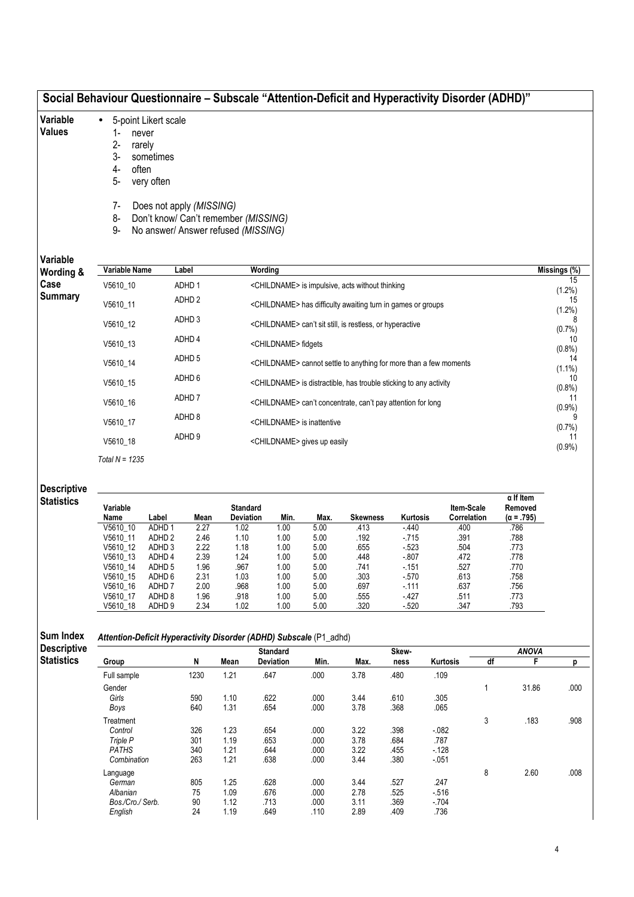|                    | Social Behaviour Questionnaire - Subscale "Attention-Deficit and Hyperactivity Disorder (ADHD)" |                             |                                                                  |                              |                                         |                  |                                                                               |                    |                           |    |                              |              |
|--------------------|-------------------------------------------------------------------------------------------------|-----------------------------|------------------------------------------------------------------|------------------------------|-----------------------------------------|------------------|-------------------------------------------------------------------------------|--------------------|---------------------------|----|------------------------------|--------------|
| Variable           | $\bullet$                                                                                       | 5-point Likert scale        |                                                                  |                              |                                         |                  |                                                                               |                    |                           |    |                              |              |
| <b>Values</b>      | 1-<br>never                                                                                     |                             |                                                                  |                              |                                         |                  |                                                                               |                    |                           |    |                              |              |
|                    | $2 -$<br>rarely                                                                                 |                             |                                                                  |                              |                                         |                  |                                                                               |                    |                           |    |                              |              |
|                    | 3-                                                                                              | sometimes                   |                                                                  |                              |                                         |                  |                                                                               |                    |                           |    |                              |              |
|                    | often<br>4-                                                                                     |                             |                                                                  |                              |                                         |                  |                                                                               |                    |                           |    |                              |              |
|                    | 5-                                                                                              | very often                  |                                                                  |                              |                                         |                  |                                                                               |                    |                           |    |                              |              |
|                    | 7-                                                                                              |                             |                                                                  |                              |                                         |                  |                                                                               |                    |                           |    |                              |              |
|                    | 8-                                                                                              |                             | Does not apply (MISSING)<br>Don't know/ Can't remember (MISSING) |                              |                                         |                  |                                                                               |                    |                           |    |                              |              |
|                    | 9-                                                                                              |                             | No answer/ Answer refused (MISSING)                              |                              |                                         |                  |                                                                               |                    |                           |    |                              |              |
|                    |                                                                                                 |                             |                                                                  |                              |                                         |                  |                                                                               |                    |                           |    |                              |              |
| Variable           |                                                                                                 |                             |                                                                  |                              |                                         |                  |                                                                               |                    |                           |    |                              |              |
| Wording &          | Variable Name                                                                                   |                             | Label                                                            |                              | Wording                                 |                  |                                                                               |                    |                           |    |                              | Missings (%) |
| Case               | V5610_10                                                                                        |                             | ADHD 1                                                           |                              |                                         |                  | <childname> is impulsive, acts without thinking</childname>                   |                    |                           |    |                              |              |
| <b>Summary</b>     |                                                                                                 |                             | ADHD <sub>2</sub>                                                |                              |                                         |                  |                                                                               |                    |                           |    |                              | $(1.2\%)$    |
|                    | V5610_11                                                                                        |                             |                                                                  |                              |                                         |                  | <childname> has difficulty awaiting turn in games or groups</childname>       |                    |                           |    |                              | $(1.2\%)$    |
|                    | V5610_12                                                                                        |                             | ADHD <sub>3</sub>                                                |                              |                                         |                  | <childname> can't sit still, is restless, or hyperactive</childname>          |                    |                           |    |                              |              |
|                    | V5610_13                                                                                        |                             | ADHD 4                                                           |                              | <childname> fidgets</childname>         |                  |                                                                               |                    |                           |    |                              | $(0.7\%)$    |
|                    | V5610_14                                                                                        |                             | ADHD <sub>5</sub>                                                |                              |                                         |                  | <childname> cannot settle to anything for more than a few moments</childname> |                    |                           |    |                              | $(0.8\%)$    |
|                    | V5610_15                                                                                        |                             | ADHD 6                                                           |                              |                                         |                  | <childname> is distractible, has trouble sticking to any activity</childname> |                    |                           |    |                              | $(1.1\%)$    |
|                    | V5610_16                                                                                        |                             | ADHD <sub>7</sub>                                                |                              |                                         |                  | <childname> can't concentrate, can't pay attention for long</childname>       |                    |                           |    |                              | (0.8%        |
|                    | V5610_17                                                                                        |                             | ADHD 8                                                           |                              | <childname> is inattentive</childname>  |                  |                                                                               |                    |                           |    |                              | (0.9%        |
|                    |                                                                                                 |                             | ADHD <sub>9</sub>                                                |                              |                                         |                  |                                                                               |                    |                           |    |                              | (0.7%)       |
|                    | V5610_18                                                                                        |                             |                                                                  |                              | <childname> gives up easily</childname> |                  |                                                                               |                    |                           |    |                              | $(0.9\%)$    |
|                    | Total $N = 1235$                                                                                |                             |                                                                  |                              |                                         |                  |                                                                               |                    |                           |    |                              |              |
| <b>Descriptive</b> |                                                                                                 |                             |                                                                  |                              |                                         |                  |                                                                               |                    |                           |    |                              |              |
| <b>Statistics</b>  |                                                                                                 |                             |                                                                  |                              |                                         |                  |                                                                               |                    |                           |    | $\alpha$ If Item             |              |
|                    | Variable<br>Name                                                                                | Label                       | Mean                                                             | <b>Standard</b><br>Deviation | Min.                                    | Max.             | <b>Skewness</b>                                                               | Kurtosis           | Item-Scale<br>Correlation |    | Removed<br>$(\alpha = .795)$ |              |
|                    | V5610 10                                                                                        | ADHD <sub>1</sub>           | 2.27                                                             | 1.02                         | 1.00                                    | 5.00             | .413                                                                          | $-440$             | .400                      |    | .786                         |              |
|                    | V5610_11                                                                                        | ADHD <sub>2</sub>           | 2.46                                                             | 1.10                         | 1.00                                    | 5.00             | .192                                                                          | $-715$             | .391                      |    | .788                         |              |
|                    | V5610_12                                                                                        | ADHD <sub>3</sub>           | 2.22                                                             | 1.18                         | 1.00                                    | 5.00             | .655                                                                          | $-523$             | .504                      |    | .773                         |              |
|                    | V5610 13<br>V5610_14                                                                            | ADHD 4<br>ADHD <sub>5</sub> | 2.39<br>1.96                                                     | 1.24<br>.967                 | 1.00<br>1.00                            | 5.00<br>$5.00\,$ | 448.<br>.741                                                                  | $-0.807$<br>$-151$ | .472<br>.527              |    | .778<br>.770                 |              |
|                    | V5610_15                                                                                        | ADHD 6                      | 2.31                                                             | 1.03                         | 1.00                                    | 5.00             | .303                                                                          | $-570$             | .613                      |    | .758                         |              |
|                    | V5610_16                                                                                        | ADHD <sub>7</sub>           | 2.00                                                             | .968                         | 1.00                                    | $5.00\,$         | .697                                                                          | $-111$             | .637                      |    | .756                         |              |
|                    | V5610 17                                                                                        | ADHD <sub>8</sub>           | 1.96                                                             | .918                         | 1.00                                    | 5.00             | .555                                                                          | $-427$             | .511                      |    | .773                         |              |
|                    | V5610_18                                                                                        | ADHD <sub>9</sub>           | 2.34                                                             | 1.02                         | 1.00                                    | 5.00             | .320                                                                          | $-520$             | .347                      |    | .793                         |              |
|                    |                                                                                                 |                             |                                                                  |                              |                                         |                  |                                                                               |                    |                           |    |                              |              |
| Sum Index          | Attention-Deficit Hyperactivity Disorder (ADHD) Subscale (P1_adhd)                              |                             |                                                                  |                              |                                         |                  |                                                                               |                    |                           |    |                              |              |
| <b>Descriptive</b> |                                                                                                 |                             |                                                                  |                              | <b>Standard</b>                         |                  |                                                                               | Skew-              |                           |    | <b>ANOVA</b>                 |              |
| <b>Statistics</b>  | Group                                                                                           |                             | N                                                                | Mean                         | Deviation                               | Min.             | Max.                                                                          | ness               | Kurtosis                  | df | F.                           |              |
|                    | Full sample                                                                                     |                             | 1230                                                             | 1.21                         | .647                                    | .000             | 3.78                                                                          | .480               | .109                      |    |                              |              |
|                    | Gender                                                                                          |                             |                                                                  |                              |                                         |                  |                                                                               |                    |                           | 1  | 31.86                        |              |
|                    | Girls                                                                                           |                             | 590                                                              | 1.10                         | .622                                    | .000             | 3.44                                                                          | .610               | .305                      |    |                              |              |
|                    |                                                                                                 |                             |                                                                  |                              |                                         |                  | 3.78                                                                          | .368               |                           |    |                              |              |
|                    | Boys                                                                                            |                             | 640                                                              | 1.31                         | .654                                    | .000             |                                                                               |                    | .065                      |    |                              |              |
|                    | Treatment                                                                                       |                             |                                                                  |                              |                                         |                  |                                                                               |                    |                           | 3  | .183                         |              |
|                    | Control<br>Triple P                                                                             |                             | 326<br>301                                                       | 1.23<br>1.19                 | .654<br>.653                            | .000<br>.000     | 3.22<br>3.78                                                                  | .398<br>.684       | $-082$<br>.787            |    |                              |              |

PATHS 340 1.21 .644 .000 3.22 .455 -.128 Combination 263 1.21 .638 .000 3.44 .380 -.051

German 805 1.25 .628 .000 3.44 .527 .247 Albanian 75 1.09 .676 .000 2.78 .525 -.516 Bos./Cro./ Serb. 90 1.12 .713 .000 3.11 .369 -.704 English 24 1.19 .649 .110 2.89 .409 .736

Language 8 2.60 .008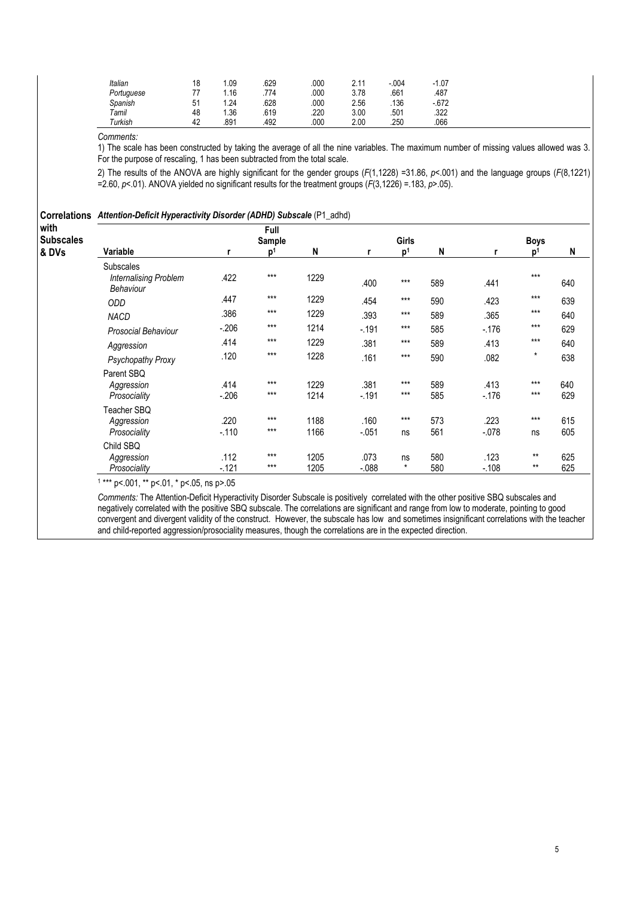| Italian    | 18 | .09  | .629 | .000 | 2.11 | $-0.004$ | $-1.07$ |
|------------|----|------|------|------|------|----------|---------|
| Portuguese | 77 | .16  | .774 | .000 | 3.78 | .661     | .487    |
| Spanish    | 51 | .24  | .628 | .000 | 2.56 | .136     | $-672$  |
| Tamil      | 48 | .36  | .619 | .220 | 3.00 | .501     | .322    |
| Turkish    | 42 | .891 | .492 | .000 | 2.00 | .250     | .066    |

1) The scale has been constructed by taking the average of all the nine variables. The maximum number of missing values allowed was 3. For the purpose of rescaling, 1 has been subtracted from the total scale.

2) The results of the ANOVA are highly significant for the gender groups (F(1,1228) =31.86, p<.001) and the language groups (F(8,1221) =2.60,  $p$ <.01). ANOVA yielded no significant results for the treatment groups  $(F(3,1226) = .183, p > .05)$ .

| with             | <b>Correlations</b> Attention-Deficit Hyperactivity Disorder (ADHD) Subscale (P1_adhd) |                | Full           |              |                  |                |            |                 |                |            |
|------------------|----------------------------------------------------------------------------------------|----------------|----------------|--------------|------------------|----------------|------------|-----------------|----------------|------------|
| <b>Subscales</b> |                                                                                        |                | Sample         |              |                  | Girls          |            |                 | <b>Boys</b>    |            |
| & DVs            | Variable                                                                               | r              | p <sup>1</sup> | N            | r                | p <sup>1</sup> | N          | r               | $\mathbf{D}^1$ | N          |
|                  | Subscales<br><b>Internalising Problem</b><br>Behaviour                                 | .422           | $***$          | 1229         | .400             | $***$          | 589        | .441            | $***$          | 640        |
|                  | ODD                                                                                    | .447           | $***$          | 1229         | .454             | $***$          | 590        | .423            | $***$          | 639        |
|                  | <b>NACD</b>                                                                            | .386           | $***$          | 1229         | .393             | $***$          | 589        | .365            | $***$          | 640        |
|                  | <b>Prosocial Behaviour</b>                                                             | $-206$         | $***$          | 1214         | $-.191$          | $***$          | 585        | $-176$          | $***$          | 629        |
|                  | Aggression                                                                             | .414           | $***$          | 1229         | .381             | $***$          | 589        | .413            | $***$          | 640        |
|                  | Psychopathy Proxy                                                                      | .120           | $***$          | 1228         | .161             | $***$          | 590        | .082            | $^\star$       | 638        |
|                  | Parent SBQ<br>Aggression<br>Prosociality                                               | .414<br>$-206$ | $***$<br>$***$ | 1229<br>1214 | .381<br>$-191$   | $***$<br>$***$ | 589<br>585 | .413<br>$-176$  | $***$<br>$***$ | 640<br>629 |
|                  | Teacher SBQ<br>Aggression<br>Prosociality                                              | .220<br>$-110$ | $***$<br>$***$ | 1188<br>1166 | .160<br>$-.051$  | $***$<br>ns    | 573<br>561 | .223<br>$-.078$ | $***$<br>ns    | 615<br>605 |
|                  | Child SBQ<br>Aggression<br>Prosociality                                                | .112<br>$-121$ | $***$<br>$***$ | 1205<br>1205 | .073<br>$-0.088$ | ns<br>$\star$  | 580<br>580 | .123<br>$-.108$ | $***$<br>$***$ | 625<br>625 |

1 \*\*\* p<.001, \*\* p<.01, \* p<.05, ns p>.05

Comments: The Attention-Deficit Hyperactivity Disorder Subscale is positively correlated with the other positive SBQ subscales and negatively correlated with the positive SBQ subscale. The correlations are significant and range from low to moderate, pointing to good convergent and divergent validity of the construct. However, the subscale has low and sometimes insignificant correlations with the teacher and child-reported aggression/prosociality measures, though the correlations are in the expected direction.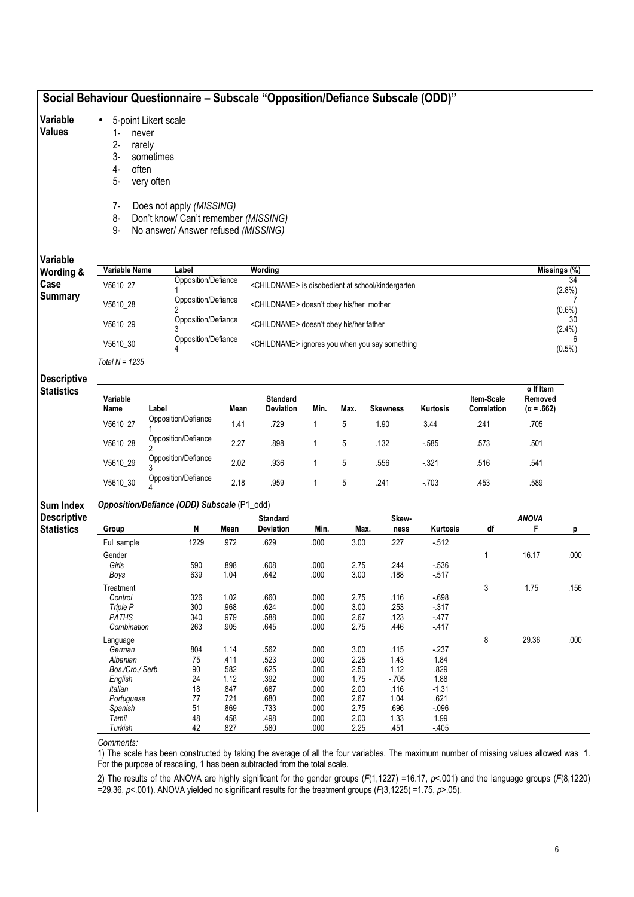| Variable<br><b>Values</b>               | $\bullet$<br>$1-$<br>never<br>$2 -$<br>rarely<br>3-<br>4-<br>often<br>5-<br>$7-$<br>8-<br>9- | 5-point Likert scale<br>sometimes<br>very often<br>Does not apply (MISSING)<br>Don't know/ Can't remember (MISSING)<br>No answer/ Answer refused (MISSING) |              |                                                               |              |              |                 |                  |                           |                                                  |                 |
|-----------------------------------------|----------------------------------------------------------------------------------------------|------------------------------------------------------------------------------------------------------------------------------------------------------------|--------------|---------------------------------------------------------------|--------------|--------------|-----------------|------------------|---------------------------|--------------------------------------------------|-----------------|
| Variable                                |                                                                                              |                                                                                                                                                            |              |                                                               |              |              |                 |                  |                           |                                                  |                 |
| Wording &                               | Variable Name                                                                                | Label<br>Opposition/Defiance                                                                                                                               |              | Wording                                                       |              |              |                 |                  |                           | Missings (%)                                     | 34              |
| Case<br><b>Summary</b>                  | V5610_27                                                                                     |                                                                                                                                                            |              | <childname> is disobedient at school/kindergarten</childname> |              |              |                 |                  |                           |                                                  | (2.8%)          |
|                                         | V5610 28                                                                                     | Opposition/Defiance                                                                                                                                        |              | <childname> doesn't obey his/her mother</childname>           |              |              |                 |                  |                           |                                                  | $(0.6\%)$       |
|                                         | V5610 29                                                                                     | Opposition/Defiance                                                                                                                                        |              | <childname> doesn't obey his/her father</childname>           |              |              |                 |                  |                           |                                                  | 30<br>$(2.4\%)$ |
|                                         | V5610 30                                                                                     | Opposition/Defiance                                                                                                                                        |              | <childname> ignores you when you say something</childname>    |              |              |                 |                  |                           |                                                  | 6               |
|                                         | Total $N = 1235$                                                                             |                                                                                                                                                            |              |                                                               |              |              |                 |                  |                           |                                                  | $(0.5\%)$       |
|                                         |                                                                                              |                                                                                                                                                            |              |                                                               |              |              |                 |                  |                           |                                                  |                 |
| <b>Descriptive</b><br><b>Statistics</b> | Variable<br>Name                                                                             | Label                                                                                                                                                      | Mean         | <b>Standard</b><br>Deviation                                  | Min.         | Max.         | <b>Skewness</b> | <b>Kurtosis</b>  | Item-Scale<br>Correlation | $\alpha$ If Item<br>Removed<br>$(\alpha = .662)$ |                 |
|                                         | V5610_27                                                                                     | Opposition/Defiance                                                                                                                                        | 1.41         | .729                                                          | $\mathbf{1}$ | 5            | 1.90            | 3.44             | .241                      | .705                                             |                 |
|                                         | V5610_28                                                                                     | Opposition/Defiance                                                                                                                                        | 2.27         | .898                                                          | 1            | 5            | .132            | $-585$           | .573                      | .501                                             |                 |
|                                         | V5610_29                                                                                     | Opposition/Defiance                                                                                                                                        | 2.02         | .936                                                          | 1            | 5            | .556            | $-321$           | .516                      | .541                                             |                 |
|                                         | V5610_30                                                                                     | Opposition/Defiance                                                                                                                                        | 2.18         | .959                                                          | 1            | 5            | .241            | $-703$           | .453                      | .589                                             |                 |
| <b>Sum Index</b>                        |                                                                                              | Opposition/Defiance (ODD) Subscale (P1_odd)                                                                                                                |              |                                                               |              |              |                 |                  |                           |                                                  |                 |
| <b>Descriptive</b>                      |                                                                                              |                                                                                                                                                            |              | <b>Standard</b>                                               |              |              | Skew-           |                  |                           | <b>ANOVA</b>                                     |                 |
| <b>Statistics</b>                       | Group                                                                                        | N                                                                                                                                                          | Mean         | Deviation                                                     | Min.         | Max.         | ness            | Kurtosis         | df                        | F                                                | р               |
|                                         | Full sample                                                                                  | 1229                                                                                                                                                       | .972         | .629                                                          | .000         | 3.00         | .227            | $-512$           |                           |                                                  |                 |
|                                         | Gender                                                                                       |                                                                                                                                                            |              |                                                               |              |              |                 |                  | 1                         | 16.17                                            | .000            |
|                                         | Girls<br>Boys                                                                                | 590<br>639                                                                                                                                                 | .898<br>1.04 | .608<br>.642                                                  | .000<br>.000 | 2.75<br>3.00 | .244<br>.188    | $-536$<br>$-517$ |                           |                                                  |                 |
|                                         | Treatment                                                                                    |                                                                                                                                                            |              |                                                               |              |              |                 |                  | 3                         | 1.75                                             | .156            |
|                                         | Control                                                                                      | 326                                                                                                                                                        | 1.02         | .660                                                          | .000         | 2.75         | .116            | $-698$           |                           |                                                  |                 |
|                                         | Triple P                                                                                     | 300                                                                                                                                                        | .968         | .624                                                          | .000         | $3.00\,$     | .253            | $-317$           |                           |                                                  |                 |
|                                         | <b>PATHS</b>                                                                                 | 340                                                                                                                                                        | .979         | .588                                                          | .000         | 2.67         | .123            | $-477$           |                           |                                                  |                 |
|                                         | Combination                                                                                  | 263                                                                                                                                                        | .905         | .645                                                          | .000         | 2.75         | .446            | $-417$           |                           |                                                  |                 |
|                                         | Language                                                                                     |                                                                                                                                                            |              |                                                               |              |              |                 |                  | 8                         | 29.36                                            | .000            |
|                                         | German                                                                                       | 804                                                                                                                                                        | 1.14         | .562                                                          | .000         | 3.00         | .115            | $-237$           |                           |                                                  |                 |
|                                         | Albanian                                                                                     | 75                                                                                                                                                         | .411         | .523                                                          | .000         | 2.25         | 1.43            | 1.84             |                           |                                                  |                 |
|                                         | Bos./Cro./ Serb.                                                                             | 90                                                                                                                                                         | .582         | .625                                                          | .000         | 2.50         | 1.12            | .829             |                           |                                                  |                 |
|                                         | English                                                                                      | 24                                                                                                                                                         | 1.12         | .392                                                          | .000         | 1.75         | $-705$          | 1.88             |                           |                                                  |                 |
|                                         | Italian                                                                                      | 18                                                                                                                                                         | .847         | .687<br>.680                                                  | .000         | 2.00         | .116            | $-1.31$          |                           |                                                  |                 |
|                                         | Portuguese<br>Spanish                                                                        | 77<br>51                                                                                                                                                   | .721<br>.869 | .733                                                          | .000<br>.000 | 2.67<br>2.75 | 1.04<br>.696    | .621<br>$-0.096$ |                           |                                                  |                 |
|                                         | Tamil                                                                                        | 48                                                                                                                                                         | .458         | .498                                                          | .000         | 2.00         | 1.33            | 1.99             |                           |                                                  |                 |
|                                         | Turkish                                                                                      | 42                                                                                                                                                         | .827         | .580                                                          | .000         | 2.25         | .451            | $-405$           |                           |                                                  |                 |
|                                         |                                                                                              |                                                                                                                                                            |              |                                                               |              |              |                 |                  |                           |                                                  |                 |

2) The results of the ANOVA are highly significant for the gender groups (F(1,1227) =16.17, p<.001) and the language groups (F(8,1220) =29.36,  $p$ <.001). ANOVA yielded no significant results for the treatment groups ( $F(3,1225)$  =1.75,  $p$ >.05).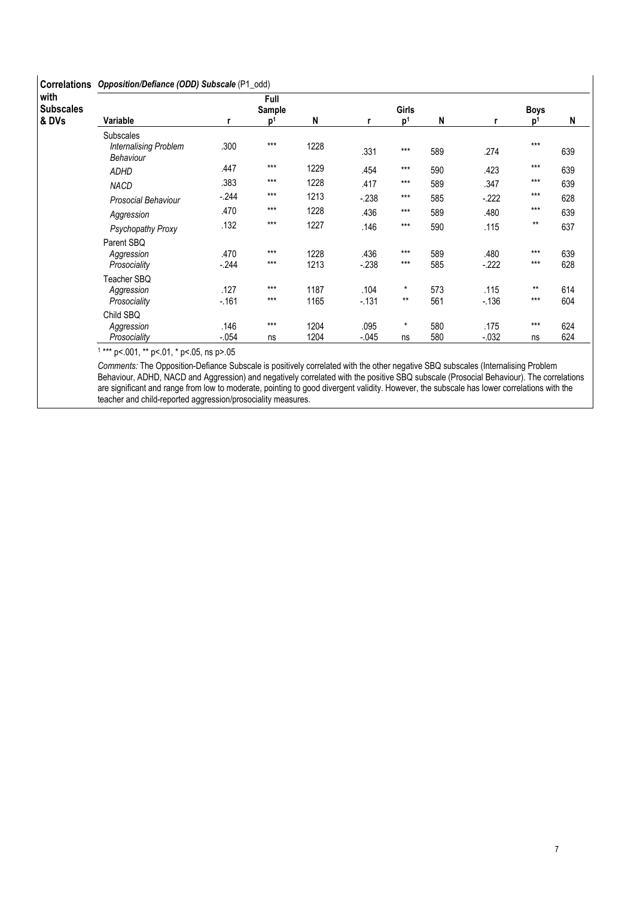#### Correlations Opposition/Defiance (ODD) Subscale (P1\_odd)

| with<br><b>Subscales</b> |                                                               |                | Full<br>Sample |              |                | <b>Girls</b>      |            |                | <b>Boys</b>    |            |
|--------------------------|---------------------------------------------------------------|----------------|----------------|--------------|----------------|-------------------|------------|----------------|----------------|------------|
| & DVs                    | Variable                                                      | r              | p <sup>1</sup> | N            | r              | p <sup>1</sup>    | N          |                | n'             | N          |
|                          | <b>Subscales</b><br><b>Internalising Problem</b><br>Behaviour | .300           | $***$          | 1228         | .331           | $***$             | 589        | .274           | $***$          | 639        |
|                          | <b>ADHD</b>                                                   | .447           | $***$          | 1229         | .454           | $***$             | 590        | .423           | $***$          | 639        |
|                          | <b>NACD</b>                                                   | .383           | $***$          | 1228         | .417           | $***$             | 589        | .347           | $***$          | 639        |
|                          | <b>Prosocial Behaviour</b>                                    | $-244$         | $***$          | 1213         | $-238$         | $***$             | 585        | $-222$         | $***$          | 628        |
|                          | Aggression                                                    | .470           | $***$          | 1228         | .436           | $***$             | 589        | .480           | $***$          | 639        |
|                          | Psychopathy Proxy                                             | .132           | $***$          | 1227         | .146           | $***$             | 590        | .115           | $***$          | 637        |
|                          | Parent SBQ<br>Aggression<br>Prosociality                      | .470<br>$-244$ | $***$<br>$***$ | 1228<br>1213 | .436<br>$-238$ | $***$<br>$***$    | 589<br>585 | .480<br>$-222$ | $***$<br>$***$ | 639<br>628 |
|                          | Teacher SBQ<br>Aggression<br>Prosociality                     | .127<br>$-161$ | $***$<br>$***$ | 1187<br>1165 | .104<br>$-131$ | $^\star$<br>$***$ | 573<br>561 | .115<br>$-136$ | $***$<br>$***$ | 614<br>604 |
|                          | Child SBQ<br>Aggression                                       | .146           | $***$          | 1204         | .095           | $^\star$          | 580        | .175           | $***$          | 624        |
|                          | Prosociality                                                  | $-.054$        | ns             | 1204         | $-0.045$       | ns                | 580        | $-0.32$        | ns             | 624        |

1 \*\*\* p<.001, \*\* p<.01, \* p<.05, ns p>.05

Comments: The Opposition-Defiance Subscale is positively correlated with the other negative SBQ subscales (Internalising Problem Behaviour, ADHD, NACD and Aggression) and negatively correlated with the positive SBQ subscale (Prosocial Behaviour). The correlations are significant and range from low to moderate, pointing to good divergent validity. However, the subscale has lower correlations with the teacher and child-reported aggression/prosociality measures.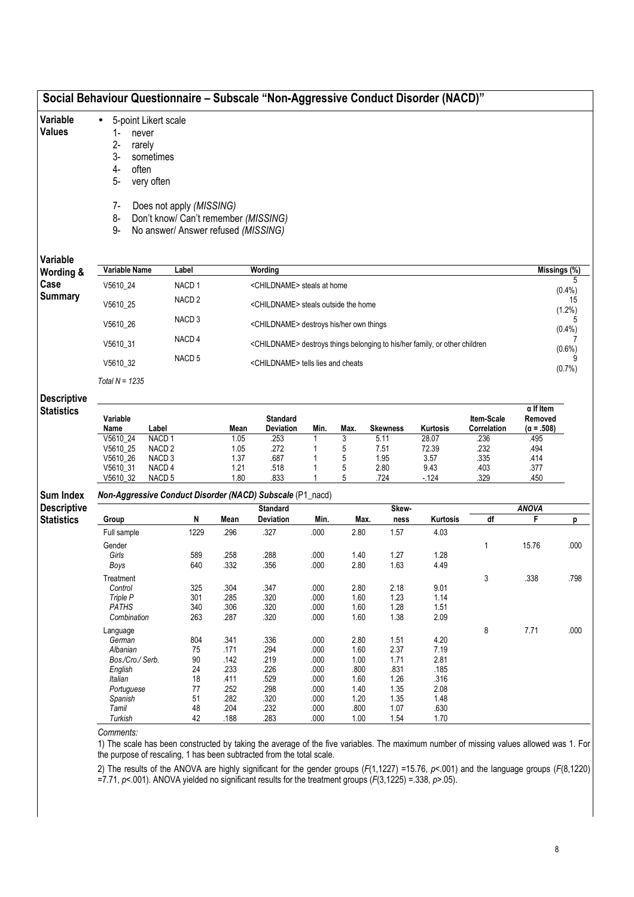|                                         |                                                                                            | Social Behaviour Questionnaire - Subscale "Non-Aggressive Conduct Disorder (NACD)"                                                                         |                              |                                                                                        |              |                  |                              |                                |                              |                                                  |                   |
|-----------------------------------------|--------------------------------------------------------------------------------------------|------------------------------------------------------------------------------------------------------------------------------------------------------------|------------------------------|----------------------------------------------------------------------------------------|--------------|------------------|------------------------------|--------------------------------|------------------------------|--------------------------------------------------|-------------------|
| Variable<br><b>Values</b>               | $\bullet$<br>1-<br>never<br>$2 -$<br>rarely<br>$3-$<br>4-<br>often<br>5-<br>7-<br>8-<br>9- | 5-point Likert scale<br>sometimes<br>very often<br>Does not apply (MISSING)<br>Don't know/ Can't remember (MISSING)<br>No answer/ Answer refused (MISSING) |                              |                                                                                        |              |                  |                              |                                |                              |                                                  |                   |
| Variable                                |                                                                                            |                                                                                                                                                            |                              |                                                                                        |              |                  |                              |                                |                              |                                                  |                   |
| Wording &                               | Variable Name                                                                              | Label                                                                                                                                                      |                              | Wording                                                                                |              |                  |                              |                                |                              |                                                  | Missings (%)<br>5 |
| Case                                    | V5610_24                                                                                   | NACD <sub>1</sub>                                                                                                                                          |                              | <childname> steals at home</childname>                                                 |              |                  |                              |                                |                              |                                                  | $(0.4\%)$         |
| <b>Summary</b>                          | V5610_25                                                                                   | NACD <sub>2</sub>                                                                                                                                          |                              | <childname> steals outside the home</childname>                                        |              |                  |                              |                                |                              |                                                  | 15<br>$(1.2\%)$   |
|                                         | V5610_26                                                                                   | NACD <sub>3</sub>                                                                                                                                          |                              | <childname> destroys his/her own things</childname>                                    |              |                  |                              |                                |                              |                                                  |                   |
|                                         | V5610_31                                                                                   | NACD <sub>4</sub>                                                                                                                                          |                              | <childname> destroys things belonging to his/her family, or other children</childname> |              |                  |                              |                                |                              |                                                  | $(0.4\%)$         |
|                                         | V5610_32                                                                                   | NACD <sub>5</sub>                                                                                                                                          |                              | <childname> tells lies and cheats</childname>                                          |              |                  |                              |                                |                              |                                                  | $(0.6\%)$         |
|                                         | Total $N = 1235$                                                                           |                                                                                                                                                            |                              |                                                                                        |              |                  |                              |                                |                              |                                                  | (0.7%             |
|                                         |                                                                                            |                                                                                                                                                            |                              |                                                                                        |              |                  |                              |                                |                              |                                                  |                   |
| <b>Descriptive</b><br><b>Statistics</b> | Variable<br>Name                                                                           | Label                                                                                                                                                      | Mean                         | <b>Standard</b><br>Deviation                                                           | Min.         | Max.             | <b>Skewness</b>              | Kurtosis                       | Item-Scale<br>Correlation    | $\alpha$ If Item<br>Removed<br>$(\alpha = .508)$ |                   |
|                                         | V5610_24<br>V5610_25<br>V5610_26<br>V5610_31                                               | NACD <sub>1</sub><br>NACD <sub>2</sub><br>NACD <sub>3</sub><br>NACD <sub>4</sub>                                                                           | 1.05<br>1.05<br>1.37<br>1.21 | .253<br>.272<br>.687<br>.518                                                           | 1            | 3<br>5<br>5<br>5 | 5.11<br>7.51<br>1.95<br>2.80 | 28.07<br>72.39<br>3.57<br>9.43 | .236<br>.232<br>.335<br>.403 | .495<br>.494<br>.414<br>.377                     |                   |
|                                         | V5610_32                                                                                   | NACD <sub>5</sub>                                                                                                                                          | 1.80                         | .833                                                                                   |              | 5                | .724                         | $-124$                         | .329                         | .450                                             |                   |
| <b>Sum Index</b>                        |                                                                                            | Non-Aggressive Conduct Disorder (NACD) Subscale (P1_nacd)                                                                                                  |                              |                                                                                        |              |                  |                              |                                |                              |                                                  |                   |
| <b>Descriptive</b>                      |                                                                                            |                                                                                                                                                            |                              | <b>Standard</b>                                                                        |              |                  | Skew-                        |                                | df                           | <b>ANOVA</b><br>F                                |                   |
| <b>Statistics</b>                       | Group<br>Full sample                                                                       | N<br>1229                                                                                                                                                  | Mean<br>.296                 | Deviation<br>.327                                                                      | Min.<br>.000 | Max.<br>2.80     | ness<br>1.57                 | Kurtosis<br>4.03               |                              |                                                  | p                 |
|                                         | Gender                                                                                     |                                                                                                                                                            |                              |                                                                                        |              |                  |                              |                                | 1                            | 15.76                                            | .000              |
|                                         | Girls                                                                                      | 589                                                                                                                                                        | .258                         | .288                                                                                   | .000         | 1.40             | 1.27                         | 1.28                           |                              |                                                  |                   |
|                                         | Boys                                                                                       | 640                                                                                                                                                        | .332                         | .356                                                                                   | .000         | 2.80             | 1.63                         | 4.49                           |                              |                                                  |                   |
|                                         | Treatment<br>Control                                                                       | 325                                                                                                                                                        | .304                         | .347                                                                                   | .000         | 2.80             | 2.18                         | 9.01                           | 3                            | .338                                             | .798              |
|                                         | Triple P                                                                                   | 301                                                                                                                                                        | .285                         | .320                                                                                   | .000         | 1.60             | 1.23                         | 1.14                           |                              |                                                  |                   |
|                                         | PATHS<br>Combination                                                                       | 340<br>263                                                                                                                                                 | .306<br>.287                 | .320<br>.320                                                                           | .000<br>.000 | 1.60<br>1.60     | 1.28<br>1.38                 | 1.51<br>2.09                   |                              |                                                  |                   |
|                                         | Language                                                                                   |                                                                                                                                                            |                              |                                                                                        |              |                  |                              |                                | 8                            | 7.71                                             | .000              |
|                                         | German                                                                                     | 804                                                                                                                                                        | .341                         | .336                                                                                   | .000         | 2.80             | 1.51                         | 4.20                           |                              |                                                  |                   |
|                                         | Albanian                                                                                   | 75                                                                                                                                                         | .171                         | .294                                                                                   | .000         | 1.60             | 2.37                         | 7.19                           |                              |                                                  |                   |
|                                         | Bos./Cro./ Serb.<br>English                                                                | 90<br>24                                                                                                                                                   | .142<br>.233                 | .219<br>.226                                                                           | .000<br>.000 | 1.00<br>.800     | 1.71<br>.831                 | 2.81<br>.185                   |                              |                                                  |                   |
|                                         | Italian                                                                                    | 18                                                                                                                                                         | .411                         | .529                                                                                   | .000         | 1.60             | 1.26                         | .316                           |                              |                                                  |                   |
|                                         | Portuguese                                                                                 | 77                                                                                                                                                         | .252                         | .298                                                                                   | .000         | 1.40             | 1.35                         | 2.08                           |                              |                                                  |                   |
|                                         | Spanish                                                                                    | 51                                                                                                                                                         | .282                         | .320                                                                                   | .000         | 1.20             | 1.35                         | 1.48                           |                              |                                                  |                   |
|                                         | Tamil<br>Turkish                                                                           | 48<br>42                                                                                                                                                   | .204<br>.188                 | .232<br>.283                                                                           | .000<br>.000 | .800<br>1.00     | 1.07<br>1.54                 | .630<br>1.70                   |                              |                                                  |                   |
|                                         | Comments:                                                                                  |                                                                                                                                                            |                              |                                                                                        |              |                  |                              |                                |                              |                                                  |                   |

1) The scale has been constructed by taking the average of the five variables. The maximum number of missing values allowed was 1. For the purpose of rescaling, 1 has been subtracted from the total scale.

2) The results of the ANOVA are highly significant for the gender groups (F(1,1227) =15.76, p<.001) and the language groups (F(8,1220) =7.71, p<.001). ANOVA yielded no significant results for the treatment groups ( $F(3,1225)$  =.338, p>.05).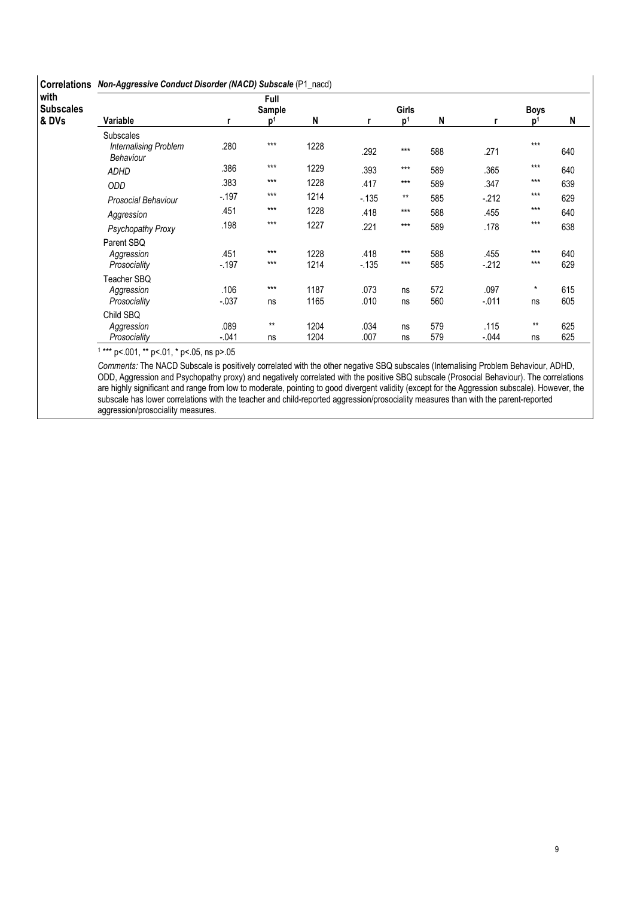| <b>Correlations</b>               |                                                               | Non-Aggressive Conduct Disorder (NACD) Subscale (P1_nacd) |                                  |              |                |                                |            |                 |                               |            |  |  |  |  |  |
|-----------------------------------|---------------------------------------------------------------|-----------------------------------------------------------|----------------------------------|--------------|----------------|--------------------------------|------------|-----------------|-------------------------------|------------|--|--|--|--|--|
| with<br><b>Subscales</b><br>& DVs | Variable                                                      |                                                           | Full<br>Sample<br>$\mathbf{D}^1$ | N            |                | <b>Girls</b><br>p <sup>1</sup> | N          |                 | <b>Boys</b><br>p <sup>1</sup> | N          |  |  |  |  |  |
|                                   | <b>Subscales</b><br><b>Internalising Problem</b><br>Behaviour | .280                                                      | $***$                            | 1228         | .292           | $***$                          | 588        | .271            | $***$                         | 640        |  |  |  |  |  |
|                                   | <b>ADHD</b>                                                   | .386                                                      | $***$                            | 1229         | .393           | $***$                          | 589        | .365            | $***$                         | 640        |  |  |  |  |  |
|                                   | ODD                                                           | .383                                                      | $***$                            | 1228         | .417           | $***$                          | 589        | .347            | $***$                         | 639        |  |  |  |  |  |
|                                   | <b>Prosocial Behaviour</b>                                    | $-197$                                                    | $***$                            | 1214         | $-135$         | $***$                          | 585        | $-212$          | $***$                         | 629        |  |  |  |  |  |
|                                   | Aggression                                                    | .451                                                      | $***$                            | 1228         | .418           | $***$                          | 588        | .455            | $***$                         | 640        |  |  |  |  |  |
|                                   | Psychopathy Proxy                                             | .198                                                      | $***$                            | 1227         | .221           | $***$                          | 589        | .178            | $***$                         | 638        |  |  |  |  |  |
|                                   | Parent SBQ<br>Aggression<br>Prosociality                      | .451<br>$-197$                                            | $***$<br>$***$                   | 1228<br>1214 | .418<br>$-135$ | $***$<br>$***$                 | 588<br>585 | .455<br>$-212$  | $***$<br>$***$                | 640<br>629 |  |  |  |  |  |
|                                   | Teacher SBQ<br>Aggression<br>Prosociality                     | .106<br>$-0.037$                                          | $***$<br>ns                      | 1187<br>1165 | .073<br>.010   | ns<br>ns                       | 572<br>560 | .097<br>$-011$  | $\star$<br>ns                 | 615<br>605 |  |  |  |  |  |
|                                   | Child SBQ<br>Aggression<br>Prosociality                       | .089<br>$-.041$                                           | $***$<br>ns                      | 1204<br>1204 | .034<br>.007   | ns<br>ns                       | 579<br>579 | .115<br>$-.044$ | $***$<br>ns                   | 625<br>625 |  |  |  |  |  |

1 \*\*\* p<.001, \*\* p<.01, \* p<.05, ns p>.05

Comments: The NACD Subscale is positively correlated with the other negative SBQ subscales (Internalising Problem Behaviour, ADHD, ODD, Aggression and Psychopathy proxy) and negatively correlated with the positive SBQ subscale (Prosocial Behaviour). The correlations are highly significant and range from low to moderate, pointing to good divergent validity (except for the Aggression subscale). However, the subscale has lower correlations with the teacher and child-reported aggression/prosociality measures than with the parent-reported aggression/prosociality measures.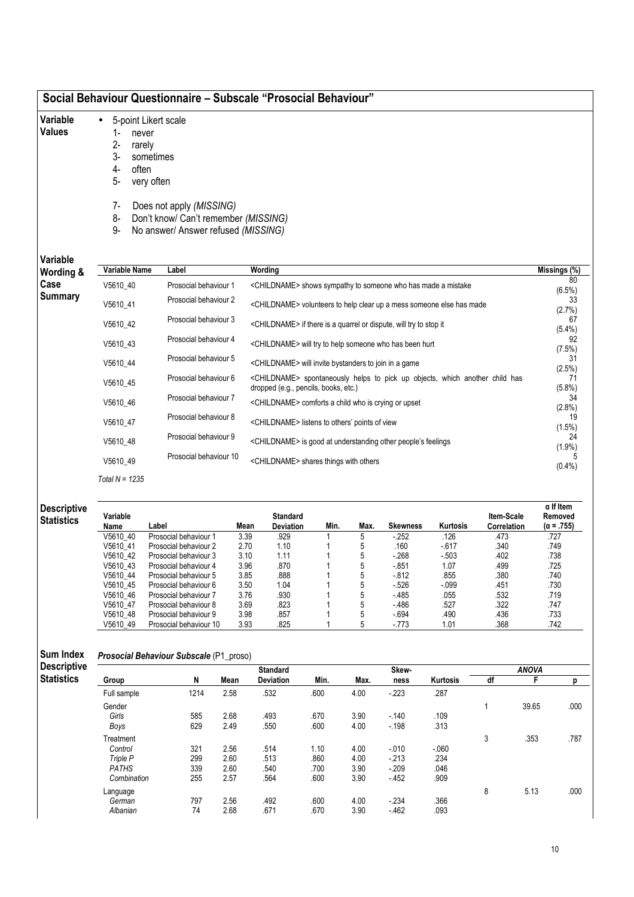| Social Behaviour Questionnaire – Subscale "Prosocial Behaviour" |  |
|-----------------------------------------------------------------|--|
|-----------------------------------------------------------------|--|

- Variable • 5-point Likert scale
- Values
- 1- never
- 2- rarely
- 3- sometimes
- 4- often
- 5- very often
- 7- Does not apply (MISSING)
- 8- Don't know/ Can't remember (MISSING)
- 9- No answer/ Answer refused (MISSING)

Variable

| Variable<br>Wording & | Variable Name    | Label                  | Wording                                                                                                                          | Missings (%)    |
|-----------------------|------------------|------------------------|----------------------------------------------------------------------------------------------------------------------------------|-----------------|
| Case                  | V5610 40         | Prosocial behaviour 1  | <childname> shows sympathy to someone who has made a mistake</childname>                                                         | 80<br>$(6.5\%)$ |
| <b>Summary</b>        | V5610 41         | Prosocial behaviour 2  | <childname> volunteers to help clear up a mess someone else has made</childname>                                                 | 33<br>(2.7%)    |
|                       | V5610 42         | Prosocial behaviour 3  | <childname> if there is a quarrel or dispute, will try to stop it</childname>                                                    | 67<br>$(5.4\%)$ |
|                       | V5610 43         | Prosocial behaviour 4  | <childname> will try to help someone who has been hurt</childname>                                                               | 92<br>(7.5%)    |
|                       | V5610 44         | Prosocial behaviour 5  | <childname> will invite bystanders to join in a game</childname>                                                                 | 31<br>(2.5%)    |
|                       | V5610 45         | Prosocial behaviour 6  | <childname> spontaneously helps to pick up objects, which another child has<br/>dropped (e.g., pencils, books, etc.)</childname> | 71<br>$(5.8\%)$ |
|                       | V5610 46         | Prosocial behaviour 7  | <childname> comforts a child who is crying or upset</childname>                                                                  | 34<br>$(2.8\%)$ |
|                       | V5610 47         | Prosocial behaviour 8  | <childname> listens to others' points of view</childname>                                                                        | 19<br>(1.5%)    |
|                       | V5610 48         | Prosocial behaviour 9  | <childname> is good at understanding other people's feelings</childname>                                                         | 24<br>(1.9%)    |
|                       | V5610 49         | Prosocial behaviour 10 | <childname> shares things with others</childname>                                                                                | $(0.4\%)$       |
|                       | Total $N = 1235$ |                        |                                                                                                                                  |                 |

| <b>Descriptive</b><br><b>Statistics</b> | Variable |                        |      | Standard         |      |      |                 |          | Item-Scale         | $\alpha$ If Item<br>Removed |
|-----------------------------------------|----------|------------------------|------|------------------|------|------|-----------------|----------|--------------------|-----------------------------|
|                                         | Name     | Label                  | Mean | <b>Deviation</b> | Min. | Max. | <b>Skewness</b> | Kurtosis | <b>Correlation</b> | $(\alpha = .755)$           |
|                                         | V5610 40 | Prosocial behaviour 1  | 3.39 | .929             |      | 5    | $-252$          | .126     | .473               | .727                        |
|                                         | V5610 41 | Prosocial behaviour 2  | 2.70 | 1.10             |      | 5    | .160            | $-617$   | .340               | .749                        |
|                                         | V5610 42 | Prosocial behaviour 3  | 3.10 | 1.11             |      | 5    | $-268$          | $-503$   | .402               | .738                        |
|                                         | V5610 43 | Prosocial behaviour 4  | 3.96 | .870             |      | 5    | $-0.851$        | 1.07     | .499               | .725                        |
|                                         | V5610 44 | Prosocial behaviour 5  | 3.85 | .888             |      | 5    | $-812$          | .855     | .380               | .740                        |
|                                         | V5610 45 | Prosocial behaviour 6  | 3.50 | 1.04             |      | 5    | $-526$          | $-.099$  | .451               | .730                        |
|                                         | V5610 46 | Prosocial behaviour 7  | 3.76 | .930             |      | 5    | $-485$          | .055     | .532               | .719                        |
|                                         | V5610 47 | Prosocial behaviour 8  | 3.69 | .823             |      | 5    | $-486$          | .527     | .322               | .747                        |
|                                         | V5610 48 | Prosocial behaviour 9  | 3.98 | .857             |      | 5    | $-694$          | .490     | .436               | .733                        |
|                                         | V5610 49 | Prosocial behaviour 10 | 3.93 | .825             |      | 5    | $-773$          | 1.01     | .368               | .742                        |

| Sum Index          | Prosocial Behaviour Subscale (P1_proso) |      |      |                  |      |      |          |          |    |              |      |
|--------------------|-----------------------------------------|------|------|------------------|------|------|----------|----------|----|--------------|------|
| <b>Descriptive</b> |                                         |      |      | <b>Standard</b>  |      |      | Skew-    |          |    | <b>ANOVA</b> |      |
| <b>Statistics</b>  | Group                                   | N    | Mean | <b>Deviation</b> | Min. | Max. | ness     | Kurtosis | df | F            | n    |
|                    | Full sample                             | 1214 | 2.58 | .532             | .600 | 4.00 | $-223$   | .287     |    |              |      |
|                    | Gender                                  |      |      |                  |      |      |          |          |    | 39.65        | .000 |
|                    | Girls                                   | 585  | 2.68 | .493             | .670 | 3.90 | $-.140$  | .109     |    |              |      |
|                    | Boys                                    | 629  | 2.49 | .550             | .600 | 4.00 | $-198$   | .313     |    |              |      |
|                    | Treatment                               |      |      |                  |      |      |          |          | 3  | .353         | .787 |
|                    | Control                                 | 321  | 2.56 | .514             | 1.10 | 4.00 | $-0.010$ | $-060$   |    |              |      |
|                    | Triple P                                | 299  | 2.60 | .513             | .860 | 4.00 | $-213$   | .234     |    |              |      |
|                    | <b>PATHS</b>                            | 339  | 2.60 | .540             | .700 | 3.90 | $-209$   | .046     |    |              |      |
|                    | Combination                             | 255  | 2.57 | .564             | .600 | 3.90 | $-452$   | .909     |    |              |      |
|                    | Language                                |      |      |                  |      |      |          |          | 8  | 5.13         | .000 |
|                    | German                                  | 797  | 2.56 | .492             | .600 | 4.00 | $-234$   | .366     |    |              |      |
|                    | Albanian                                | 74   | 2.68 | .671             | .670 | 3.90 | $-462$   | .093     |    |              |      |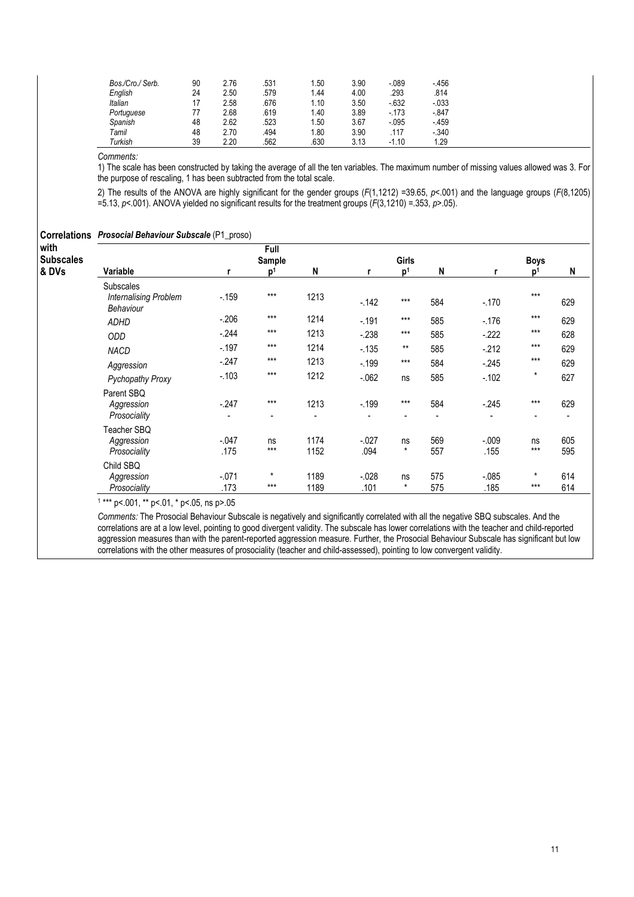| Bos./Cro./ Serb. | 90 | 2.76 | .531 | 1.50 | 3.90 | $-089$   | $-456$   |  |
|------------------|----|------|------|------|------|----------|----------|--|
| English          | 24 | 2.50 | .579 | 1.44 | 4.00 | .293     | .814     |  |
| Italian          | 17 | 2.58 | .676 | 1.10 | 3.50 | $-632$   | $-0.033$ |  |
| Portuguese       | 77 | 2.68 | .619 | 1.40 | 3.89 | $-173$   | $-847$   |  |
| Spanish          | 48 | 2.62 | .523 | 1.50 | 3.67 | $-0.095$ | $-459$   |  |
| Tamil            | 48 | 2.70 | .494 | 1.80 | 3.90 | 117      | $-.340$  |  |
| Turkish          | 39 | 2.20 | .562 | .630 | 3.13 | $-1.10$  | 1.29     |  |

1) The scale has been constructed by taking the average of all the ten variables. The maximum number of missing values allowed was 3. For the purpose of rescaling, 1 has been subtracted from the total scale.

2) The results of the ANOVA are highly significant for the gender groups  $(F(1, 1212)$  =39.65,  $p$ <.001) and the language groups  $(F(8, 1205)$ =5.13, p<.001). ANOVA yielded no significant results for the treatment groups  $(F(3,1210) = .353, p > .05)$ .

| <b>Correlations</b>      | <b>Prosocial Behaviour Subscale (P1_proso)</b>                |                 |                         |              |                  |                |            |                  |                  |            |
|--------------------------|---------------------------------------------------------------|-----------------|-------------------------|--------------|------------------|----------------|------------|------------------|------------------|------------|
| with<br><b>Subscales</b> |                                                               |                 | Full<br>Sample          |              |                  |                |            |                  | <b>Boys</b>      |            |
| & DVs                    | Variable                                                      | r               | p <sup>1</sup>          | N            | r                | p <sup>1</sup> | N          |                  | $\mathbf{D}^1$   | N          |
|                          | <b>Subscales</b><br><b>Internalising Problem</b><br>Behaviour | $-159$          | $***$                   | 1213         | $-142$           | $***$          | 584        | $-.170$          | $***$            | 629        |
|                          | <b>ADHD</b>                                                   | $-.206$         | $***$                   | 1214         | $-191$           | $***$          | 585        | $-176$           | $***$            | 629        |
|                          | <b>ODD</b>                                                    | $-244$          | $***$                   | 1213         | $-238$           | $***$          | 585        | $-222$           | $***$            | 628        |
|                          | NACD                                                          | $-197$          | $***$                   | 1214         | $-135$           | $***$          | 585        | $-212$           | $***$            | 629        |
|                          | Aggression                                                    | $-247$          | $***$                   | 1213         | $-199$           | $***$          | 584        | $-245$           | $***$            | 629        |
|                          | <b>Pychopathy Proxy</b>                                       | $-103$          | $***$                   | 1212         | $-062$           | ns             | 585        | $-102$           | $\pmb{\star}$    | 627        |
|                          | Parent SBQ<br>Aggression<br>Prosociality                      | $-247$          | $***$<br>$\blacksquare$ | 1213         | $-.199$          | $***$          | 584        | $-245$           | $***$            | 629        |
|                          | Teacher SBQ<br>Aggression<br>Prosociality                     | $-.047$<br>.175 | ns<br>$***$             | 1174<br>1152 | $-0.027$<br>.094 | ns<br>$^\star$ | 569<br>557 | $-.009$<br>.155  | ns<br>$***$      | 605<br>595 |
|                          | Child SBQ<br>Aggression<br>Prosociality                       | $-.071$<br>.173 | $\star$<br>$***$        | 1189<br>1189 | $-.028$<br>.101  | ns<br>$^\star$ | 575<br>575 | $-0.085$<br>.185 | $\star$<br>$***$ | 614<br>614 |

1 \*\*\* p<.001, \*\* p<.01, \* p<.05, ns p>.05

Comments: The Prosocial Behaviour Subscale is negatively and significantly correlated with all the negative SBQ subscales. And the correlations are at a low level, pointing to good divergent validity. The subscale has lower correlations with the teacher and child-reported aggression measures than with the parent-reported aggression measure. Further, the Prosocial Behaviour Subscale has significant but low correlations with the other measures of prosociality (teacher and child-assessed), pointing to low convergent validity.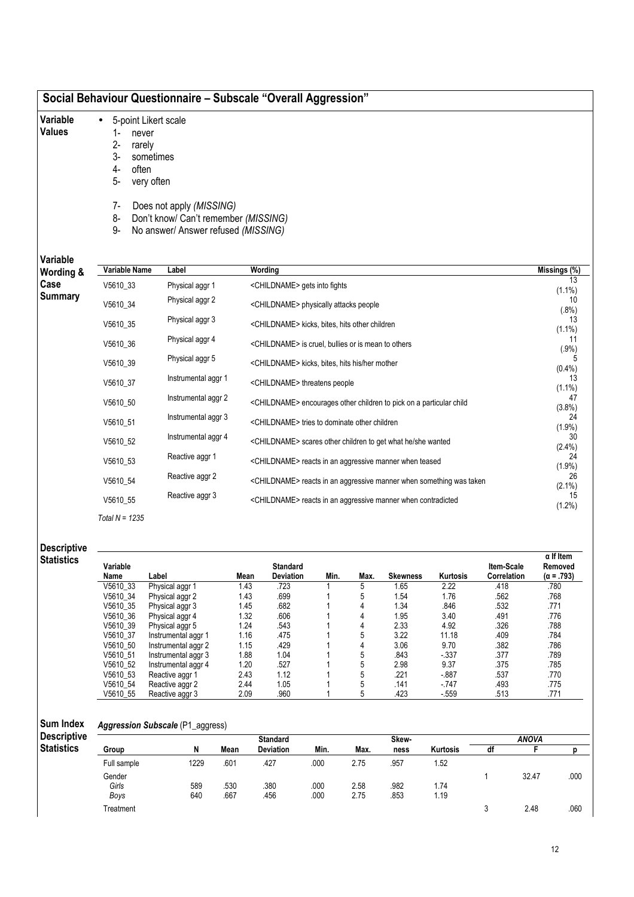- Variable • 5-point Likert scale
- Values
- 1- never<br>2- rarely
- 2- rarely<br>3- somet
- 3- sometimes often
- 5- very often
- 
- 7- Does not apply (MISSING)
- 8- Don't know/ Can't remember (MISSING)
- 9- No answer/ Answer refused (MISSING)

Variable

| Variable<br>Wording & | Variable Name | Label               | Wording                                                                         | Missings (%)    |
|-----------------------|---------------|---------------------|---------------------------------------------------------------------------------|-----------------|
| Case                  | V5610_33      | Physical aggr 1     | <childname> gets into fights</childname>                                        | 13<br>$(1.1\%)$ |
| <b>Summary</b>        | V5610 34      | Physical aggr 2     | <childname> physically attacks people</childname>                               | 10<br>$(.8\%)$  |
|                       | V5610 35      | Physical aggr 3     | <childname> kicks, bites, hits other children</childname>                       | 13<br>$(1.1\%)$ |
|                       | V5610_36      | Physical aggr 4     | <childname> is cruel, bullies or is mean to others</childname>                  | 11<br>(.9%)     |
|                       | V5610 39      | Physical aggr 5     | <childname> kicks, bites, hits his/her mother</childname>                       | $(0.4\%)$       |
|                       | V5610 37      | Instrumental aggr 1 | <childname> threatens people</childname>                                        | 13<br>$(1.1\%)$ |
|                       | V5610 50      | Instrumental aggr 2 | <childname> encourages other children to pick on a particular child</childname> | 47<br>(3.8%)    |
|                       | V5610 51      | Instrumental aggr 3 | <childname> tries to dominate other children</childname>                        | 24<br>(1.9%)    |
|                       | V5610 52      | Instrumental aggr 4 | <childname> scares other children to get what he/she wanted</childname>         | 30<br>$(2.4\%)$ |
|                       | V5610 53      | Reactive aggr 1     | <childname> reacts in an aggressive manner when teased</childname>              | 24<br>(1.9%)    |
|                       | V5610 54      | Reactive aggr 2     | <childname> reacts in an aggressive manner when something was taken</childname> | 26<br>$(2.1\%)$ |
|                       | V5610 55      | Reactive aggr 3     | <childname> reacts in an aggressive manner when contradicted</childname>        | 15<br>$(1.2\%)$ |

Total  $N = 1235$ 

| <b>Descriptive</b> |
|--------------------|
|--------------------|

| Statistics | Variable |                     |      | <b>Standard</b>  |      |      |                 |          | Item-Scale         | $\alpha$ If Item<br>Removed |
|------------|----------|---------------------|------|------------------|------|------|-----------------|----------|--------------------|-----------------------------|
|            | Name     | Label               | Mean | <b>Deviation</b> | Min. | Max. | <b>Skewness</b> | Kurtosis | <b>Correlation</b> | $(\alpha = .793)$           |
|            | V5610 33 | Physical aggr 1     | 1.43 | .723             |      | 5    | 1.65            | 2.22     | .418               | .780                        |
|            | V5610 34 | Physical aggr 2     | 1.43 | .699             |      | 5    | 1.54            | 1.76     | .562               | .768                        |
|            | V5610 35 | Physical aggr 3     | 1.45 | .682             |      | 4    | 1.34            | .846     | .532               | .771                        |
|            | V5610 36 | Physical aggr 4     | 1.32 | .606             |      | 4    | 1.95            | 3.40     | .491               | .776                        |
|            | V5610 39 | Physical aggr 5     | 1.24 | .543             |      | 4    | 2.33            | 4.92     | .326               | .788                        |
|            | V5610 37 | Instrumental aggr 1 | 1.16 | .475             |      | 5    | 3.22            | 11.18    | .409               | .784                        |
|            | V5610 50 | Instrumental aggr 2 | 1.15 | .429             |      | 4    | 3.06            | 9.70     | .382               | .786                        |
|            | V5610 51 | Instrumental aggr 3 | 1.88 | 1.04             |      | 5    | .843            | $-337$   | .377               | .789                        |
|            | V5610 52 | Instrumental aggr 4 | 1.20 | .527             |      | 5    | 2.98            | 9.37     | .375               | .785                        |
|            | V5610 53 | Reactive aggr 1     | 2.43 | 1.12             |      | 5    | .221            | $-0.887$ | .537               | .770                        |
|            | V5610 54 | Reactive aggr 2     | 2.44 | 1.05             |      | 5    | .141            | $-747$   | .493               | .775                        |
|            | V5610 55 | Reactive aggr 3     | 2.09 | .960             |      |      | .423            | $-559$   | .513               | .771                        |

#### Sum Index Aggression Subscale (P1\_aggress)

| <b>Descriptive</b> |             |      |      | <b>Standard</b>  |      |      | Skew- |                 |    | ANOVA |      |
|--------------------|-------------|------|------|------------------|------|------|-------|-----------------|----|-------|------|
| <b>Statistics</b>  | Group       | N    | Mean | <b>Deviation</b> | Min. | Max. | ness  | <b>Kurtosis</b> | df |       |      |
|                    | Full sample | 1229 | 601  | .427             | .000 | 2.75 | .957  | .52             |    |       |      |
|                    | Gender      |      |      |                  |      |      |       |                 |    | 32.47 | .000 |
|                    | Girls       | 589  | .530 | .380             | .000 | 2.58 | .982  | 1.74            |    |       |      |
|                    | Boys        | 640  | .667 | .456             | .000 | 2.75 | .853  | .19             |    |       |      |
|                    | Treatment   |      |      |                  |      |      |       |                 |    | 2.48  | .060 |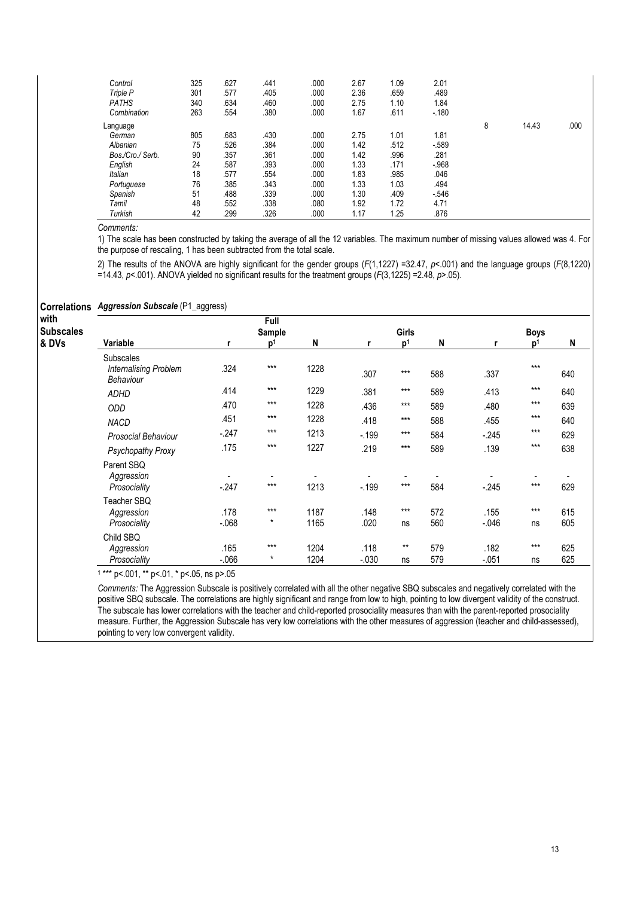| Control<br>Triple P<br><b>PATHS</b><br>Combination | 325<br>301<br>340<br>263 | .627<br>.577<br>.634<br>.554 | .441<br>.405<br>.460<br>.380 | .000<br>.000<br>.000<br>.000 | 2.67<br>2.36<br>2.75<br>1.67 | 1.09<br>.659<br>1.10<br>.611 | 2.01<br>.489<br>1.84<br>$-180$ |   |       |      |
|----------------------------------------------------|--------------------------|------------------------------|------------------------------|------------------------------|------------------------------|------------------------------|--------------------------------|---|-------|------|
| Language                                           |                          |                              |                              |                              |                              |                              |                                | 8 | 14.43 | .000 |
| German                                             | 805                      | .683                         | .430                         | .000                         | 2.75                         | 1.01                         | 1.81                           |   |       |      |
| Albanian                                           | 75                       | 526                          | .384                         | .000                         | 1.42                         | .512                         | $-589$                         |   |       |      |
| Bos./Cro./ Serb.                                   | 90                       | .357                         | .361                         | .000                         | 1.42                         | .996                         | .281                           |   |       |      |
| English                                            | 24                       | .587                         | .393                         | .000                         | 1.33                         | .171                         | $-.968$                        |   |       |      |
| Italian                                            | 18                       | .577                         | .554                         | .000                         | 1.83                         | .985                         | .046                           |   |       |      |
| Portuguese                                         | 76                       | .385                         | .343                         | .000                         | 1.33                         | 1.03                         | .494                           |   |       |      |
| Spanish                                            | 51                       | .488                         | .339                         | .000                         | 1.30                         | .409                         | $-546$                         |   |       |      |
| Tamil                                              | 48                       | .552                         | .338                         | .080                         | 1.92                         | 1.72                         | 4.71                           |   |       |      |
| Turkish                                            | 42                       | .299                         | .326                         | .000                         | 1.17                         | 1.25                         | .876                           |   |       |      |

1) The scale has been constructed by taking the average of all the 12 variables. The maximum number of missing values allowed was 4. For the purpose of rescaling, 1 has been subtracted from the total scale.

2) The results of the ANOVA are highly significant for the gender groups  $(F(1, 1227) = 32.47, p < .001)$  and the language groups  $(F(8, 1220)$ =14.43,  $p$ <.001). ANOVA yielded no significant results for the treatment groups ( $F(3,1225)$  =2.48,  $p$ >.05).

### Correlations Aggression Subscale (P1\_aggress) with **Subscales** & DVs Full Sample Girls **Boys** Variable **r**  $p^1$  N r p<sup>1</sup> N r p<sup>1</sup>  $p<sup>1</sup>$  N Subscales Internalising Problem Behaviour .324 \*\*\* 1228 .307 \*\*\* 588 .337 \*\*\* 640 ADHD .414 \*\*\* 1229 .381 \*\*\* 589 .413 \*\*\* 640 ODD .470 \*\*\* 1228 .436 \*\*\* 589 .480 \*\*\* 639 NACD .451 \*\*\* 1228 .418 \*\*\* 588 .455 \*\*\* 640 Prosocial Behaviour -.247 \*\*\* 1213 -.199 \*\*\* 584 -.245 \*\*\* 629 Psychopathy Proxy .175 \*\*\* 1227 .219 \*\*\* 589 .139 \*\*\* 638 Parent SBQ<br>Aggression Aggression - - - - - - - - - Prosociality -.247 \*\*\* 1213 -.199 \*\*\* 584 -.245 \*\*\* 629 Teacher SBQ<br>Aggression Aggression .178 \*\*\* 1187 .148 \*\*\* 572 .155 \*\*\* 615 Prosociality -.068 \* 1165 .020 ns 560 -.046 ns 605 Child SBQ Aggression .165 \*\*\* 1204 .118 \*\* 579 .182 \*\*\* 625 Prosociality -.066 \* 1204 -.030 ns 579 -.051 ns 625 1 \*\*\* p<.001, \*\* p<.01, \* p<.05, ns p>.05

Comments: The Aggression Subscale is positively correlated with all the other negative SBQ subscales and negatively correlated with the positive SBQ subscale. The correlations are highly significant and range from low to high, pointing to low divergent validity of the construct. The subscale has lower correlations with the teacher and child-reported prosociality measures than with the parent-reported prosociality measure. Further, the Aggression Subscale has very low correlations with the other measures of aggression (teacher and child-assessed), pointing to very low convergent validity.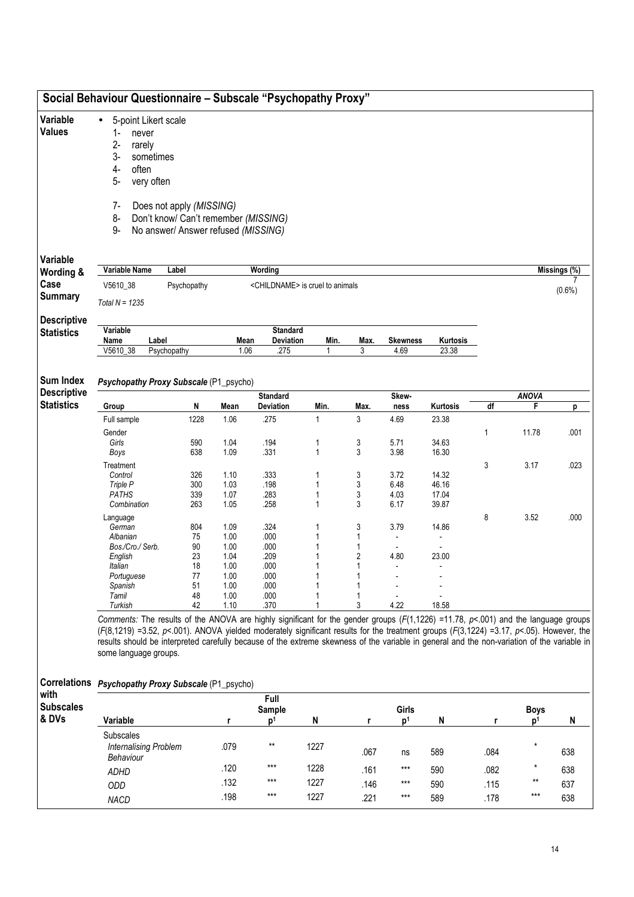|                                         |                                                                               | Social Behaviour Questionnaire - Subscale "Psychopathy Proxy"                                                                                                                                                                                                                                                                                                                                                                                    |              |                                             |           |                |                        |                   |              |                |           |  |
|-----------------------------------------|-------------------------------------------------------------------------------|--------------------------------------------------------------------------------------------------------------------------------------------------------------------------------------------------------------------------------------------------------------------------------------------------------------------------------------------------------------------------------------------------------------------------------------------------|--------------|---------------------------------------------|-----------|----------------|------------------------|-------------------|--------------|----------------|-----------|--|
| Variable<br><b>Values</b>               | $\bullet$<br>$1 -$<br>never<br>$2 -$<br>rarely<br>$3-$<br>$4-$<br>often<br>5- | 5-point Likert scale<br>sometimes<br>very often                                                                                                                                                                                                                                                                                                                                                                                                  |              |                                             |           |                |                        |                   |              |                |           |  |
|                                         | 7-<br>8-<br>$9-$                                                              | Does not apply (MISSING)<br>Don't know/ Can't remember (MISSING)<br>No answer/ Answer refused (MISSING)                                                                                                                                                                                                                                                                                                                                          |              |                                             |           |                |                        |                   |              |                |           |  |
| Variable<br>Wording &                   | Variable Name                                                                 | Label                                                                                                                                                                                                                                                                                                                                                                                                                                            |              | Wording                                     |           |                |                        |                   |              |                |           |  |
| Case                                    | V5610_38                                                                      | Psychopathy                                                                                                                                                                                                                                                                                                                                                                                                                                      |              | <childname> is cruel to animals</childname> |           |                |                        |                   | Missings (%) |                |           |  |
| <b>Summary</b>                          | Total $N = 1235$                                                              |                                                                                                                                                                                                                                                                                                                                                                                                                                                  |              |                                             |           |                |                        |                   |              |                | $(0.6\%)$ |  |
| <b>Descriptive</b><br><b>Statistics</b> | Variable<br>Name                                                              | Label                                                                                                                                                                                                                                                                                                                                                                                                                                            | Mean         | <b>Standard</b><br>Deviation                | Min.      | Max.           | <b>Skewness</b>        | Kurtosis          |              |                |           |  |
|                                         | V5610_38                                                                      | Psychopathy                                                                                                                                                                                                                                                                                                                                                                                                                                      | 1.06         | .275                                        | 1         | 3              | 4.69                   | 23.38             |              |                |           |  |
| <b>Sum Index</b>                        |                                                                               | Psychopathy Proxy Subscale (P1_psycho)                                                                                                                                                                                                                                                                                                                                                                                                           |              |                                             |           |                |                        |                   |              |                |           |  |
| <b>Descriptive</b>                      |                                                                               |                                                                                                                                                                                                                                                                                                                                                                                                                                                  |              | <b>Standard</b>                             |           |                | Skew-                  |                   |              | <b>ANOVA</b>   |           |  |
| <b>Statistics</b>                       | Group<br>Full sample                                                          | N<br>1228                                                                                                                                                                                                                                                                                                                                                                                                                                        | Mean<br>1.06 | Deviation<br>.275                           | Min.<br>1 | Max.<br>3      | ness<br>4.69           | Kurtosis<br>23.38 | df           | F.             | р         |  |
|                                         | Gender                                                                        |                                                                                                                                                                                                                                                                                                                                                                                                                                                  |              |                                             |           |                |                        |                   | 1            | 11.78          | .001      |  |
|                                         | Girls                                                                         | 590                                                                                                                                                                                                                                                                                                                                                                                                                                              | 1.04         | .194                                        | 1         | 3              | 5.71                   | 34.63             |              |                |           |  |
|                                         | Boys                                                                          | 638                                                                                                                                                                                                                                                                                                                                                                                                                                              | 1.09         | .331                                        | 1         | 3              | 3.98                   | 16.30             |              |                |           |  |
|                                         | Treatment<br>Control                                                          | 326                                                                                                                                                                                                                                                                                                                                                                                                                                              | 1.10         | .333                                        | 1         | 3              | 3.72                   | 14.32             | 3            | 3.17           | .023      |  |
|                                         | Triple P                                                                      | 300                                                                                                                                                                                                                                                                                                                                                                                                                                              | 1.03         | .198                                        | 1         | 3              | 6.48                   | 46.16             |              |                |           |  |
|                                         | <b>PATHS</b>                                                                  | 339                                                                                                                                                                                                                                                                                                                                                                                                                                              | 1.07         | .283                                        | 1         | 3              | 4.03                   | 17.04             |              |                |           |  |
|                                         | Combination                                                                   | 263                                                                                                                                                                                                                                                                                                                                                                                                                                              | 1.05         | .258                                        | 1         | 3              | 6.17                   | 39.87             |              |                |           |  |
|                                         | Language                                                                      |                                                                                                                                                                                                                                                                                                                                                                                                                                                  |              |                                             |           |                |                        |                   | 8            | 3.52           | .000      |  |
|                                         | German<br>Albanian                                                            | 804<br>75                                                                                                                                                                                                                                                                                                                                                                                                                                        | 1.09<br>1.00 | .324<br>.000                                | 1         | 3<br>1         | 3.79<br>$\blacksquare$ | 14.86             |              |                |           |  |
|                                         | Bos./Cro./ Serb.                                                              | 90                                                                                                                                                                                                                                                                                                                                                                                                                                               | 1.00         | .000                                        |           | 1              | $\blacksquare$         | $\blacksquare$    |              |                |           |  |
|                                         | English                                                                       | 23                                                                                                                                                                                                                                                                                                                                                                                                                                               | 1.04         | .209                                        | 1         | $\overline{2}$ | 4.80                   | 23.00             |              |                |           |  |
|                                         | Italian                                                                       | 18                                                                                                                                                                                                                                                                                                                                                                                                                                               | 1.00         | .000                                        | 1         | 1              |                        |                   |              |                |           |  |
|                                         | Portuguese<br>Spanish                                                         | 77<br>51                                                                                                                                                                                                                                                                                                                                                                                                                                         | 1.00<br>1.00 | .000<br>.000                                |           |                |                        |                   |              |                |           |  |
|                                         | Tamil                                                                         | 48                                                                                                                                                                                                                                                                                                                                                                                                                                               | 1.00         | .000                                        |           |                |                        |                   |              |                |           |  |
|                                         | Turkish                                                                       | 42                                                                                                                                                                                                                                                                                                                                                                                                                                               | 1.10         | .370                                        |           | 3              | 4.22                   | 18.58             |              |                |           |  |
|                                         | some language groups.                                                         | Comments: The results of the ANOVA are highly significant for the gender groups ( $F(1,1226)$ =11.78, $p<0.01$ ) and the language groups<br>$(F(8, 1219) = 3.52, p < 001)$ . ANOVA yielded moderately significant results for the treatment groups $(F(3, 1224) = 3.17, p < 0.05)$ . However, the<br>results should be interpreted carefully because of the extreme skewness of the variable in general and the non-variation of the variable in |              |                                             |           |                |                        |                   |              |                |           |  |
| with                                    |                                                                               | Correlations Psychopathy Proxy Subscale (P1_psycho)                                                                                                                                                                                                                                                                                                                                                                                              |              | Full                                        |           |                |                        |                   |              |                |           |  |
| <b>Subscales</b>                        |                                                                               |                                                                                                                                                                                                                                                                                                                                                                                                                                                  |              | Sample                                      |           |                | Girls                  |                   |              | <b>Boys</b>    |           |  |
| & DVs                                   | Variable                                                                      |                                                                                                                                                                                                                                                                                                                                                                                                                                                  | r            | p <sup>1</sup>                              | N         | r              | p <sup>1</sup>         | $\mathsf{N}$      | r            | p <sup>1</sup> | N         |  |
|                                         | Subscales<br><b>Internalising Problem</b><br>Behaviour                        |                                                                                                                                                                                                                                                                                                                                                                                                                                                  | .079         | $***$                                       | 1227      | .067           | ns                     | 589               | .084         | $^\star$       | 638       |  |
|                                         |                                                                               |                                                                                                                                                                                                                                                                                                                                                                                                                                                  | .120         | $***$                                       | 1228      | .161           | $***$                  | 590               | .082         |                | 638       |  |
|                                         | ADHD                                                                          |                                                                                                                                                                                                                                                                                                                                                                                                                                                  | .132         | $***$                                       | 1227      | .146           | $***$                  | 590               | .115         | **             | 637       |  |
|                                         | ODD                                                                           |                                                                                                                                                                                                                                                                                                                                                                                                                                                  | .198         | $***$                                       | 1227      |                | $***$                  |                   |              | $***$          |           |  |
|                                         | <b>NACD</b>                                                                   |                                                                                                                                                                                                                                                                                                                                                                                                                                                  |              |                                             |           | .221           |                        | 589               | .178         |                | 638       |  |